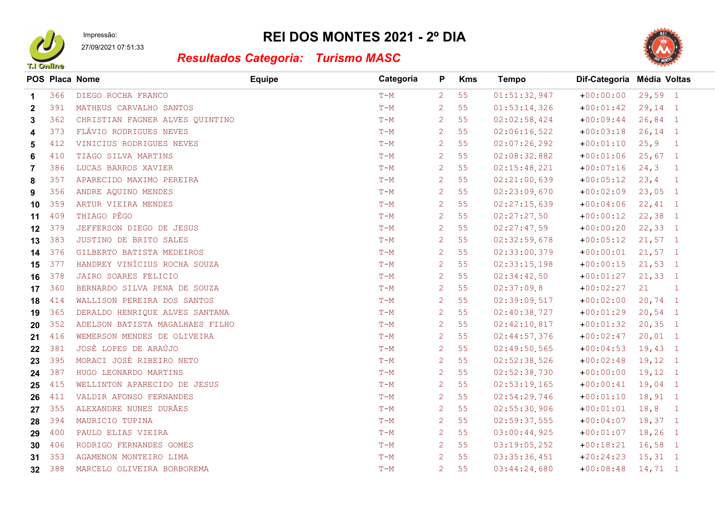

Impressão: 27/09/2021 07:51:33

## REI DOS MONTES 2021 - 2º DIA



## Resultados Categoria: Turismo MASC

|              |     | POS Placa Nome                  | <b>Equipe</b> | Categoria | P                    | <b>Kms</b> | Tempo        | Dif-Categoria Média Voltas |            |                |
|--------------|-----|---------------------------------|---------------|-----------|----------------------|------------|--------------|----------------------------|------------|----------------|
| $\mathbf 1$  | 366 | DIEGO ROCHA FRANCO              |               | $T-M$     | $\overline{2}$       | 55         | 01:51:32.947 | $+00:00:00$                | $29,59$ 1  |                |
| $\mathbf{2}$ | 391 | MATHEUS CARVALHO SANTOS         |               | $T-M$     | $\overline{2}$       | 55         | 01:53:14.326 | $+00:01:42$                | $29,14$ 1  |                |
| 3            | 362 | CHRISTIAN FAGNER ALVES QUINTINO |               | $T-M$     | $\mathbf{2}^{\circ}$ | 55         | 02:02:58.424 | $+00:09:44$                | $26,84$ 1  |                |
| 4            | 373 | FLÁVIO RODRIGUES NEVES          |               | $T-M$     | 2                    | 55         | 02:06:16.522 | $+00:03:18$                | $26, 14$ 1 |                |
| 5            | 412 | VINICIUS RODRIGUES NEVES        |               | $T-M$     | $\mathbf{2}^{\circ}$ | 55         | 02:07:26.292 | $+00:01:10$                | 25, 9      | $\overline{1}$ |
| 6            | 410 | TIAGO SILVA MARTINS             |               | $T-M$     | $\overline{2}$       | 55         | 02:08:32.882 | $+00:01:06$                | $25,67$ 1  |                |
| 7            | 386 | LUCAS BARROS XAVIER             |               | $T-M$     | $\mathbf{2}^{\circ}$ | 55         | 02:15:48.221 | $+00:07:16$                | 24, 3      | $\overline{1}$ |
| 8            | 357 | APARECIDO MAXIMO PEREIRA        |               | $T-M$     | $\overline{2}$       | 55         | 02:21:00.639 | $+00:05:12$                | 23, 4      | $\mathbf{1}$   |
| 9            | 356 | ANDRE AQUINO MENDES             |               | $T-M$     | $\overline{2}$       | 55         | 02:23:09.670 | $+00:02:09$                | $23,05$ 1  |                |
| 10           | 359 | ARTUR VIEIRA MENDES             |               | $T-M$     | $\overline{2}$       | 55         | 02:27:15.639 | $+00:04:06$                | $22, 41$ 1 |                |
| 11           | 409 | THIAGO PÊGO                     |               | $T-M$     | $\mathbf{2}^{\circ}$ | 55         | 02:27:27.50  | $+00:00:12$                | $22,38$ 1  |                |
| 12           | 379 | JEFFERSON DIEGO DE JESUS        |               | $T-M$     | $\mathbf{2}^{\circ}$ | 55         | 02:27:47.59  | $+00:00:20$                | $22, 33$ 1 |                |
| 13           | 383 | JUSTINO DE BRITO SALES          |               | $T-M$     | $\overline{2}$       | 55         | 02:32:59.678 | $+00:05:12$                | $21,57$ 1  |                |
| 14           | 376 | GILBERTO BATISTA MEDEIROS       |               | $T-M$     | $\overline{2}$       | 55         | 02:33:00.379 | $+00:00:01$                | $21,57$ 1  |                |
| 15           | 377 | HANDREY VINÍCIUS ROCHA SOUZA    |               | $T-M$     | $\mathbf{2}^{\circ}$ | 55         | 02:33:15.198 | $+00:00:15$                | $21,53$ 1  |                |
| 16           | 378 | JAIRO SOARES FELICIO            |               | $T-M$     | $\mathbf{2}^{\circ}$ | 55         | 02:34:42.50  | $+00:01:27$                | $21, 33$ 1 |                |
| 17           | 360 | BERNARDO SILVA PENA DE SOUZA    |               | $T-M$     | $\overline{2}$       | 55         | 02:37:09.8   | $+00:02:27$                | 21         | $\overline{1}$ |
| 18           | 414 | WALLISON PEREIRA DOS SANTOS     |               | $T-M$     | $\overline{2}$       | 55         | 02:39:09.517 | $+00:02:00$                | $20,74$ 1  |                |
| 19           | 365 | DERALDO HENRIQUE ALVES SANTANA  |               | $T-M$     | $\overline{2}$       | 55         | 02:40:38.727 | $+00:01:29$                | $20,54$ 1  |                |
| 20           | 352 | ADELSON BATISTA MAGALHAES FILHO |               | $T-M$     | $\overline{2}$       | 55         | 02:42:10.817 | $+00:01:32$                | $20, 35$ 1 |                |
| 21           | 416 | WEMERSON MENDES DE OLIVEIRA     |               | $T-M$     | $\overline{2}$       | 55         | 02:44:57.376 | $+00:02:47$                | $20,01$ 1  |                |
| 22           | 381 | JOSÉ LOPES DE ARAÚJO            |               | $T-M$     | $\overline{2}$       | 55         | 02:49:50.565 | $+00:04:53$                | $19,43$ 1  |                |
| 23           | 395 | MORACI JOSÉ RIBEIRO NETO        |               | $T-M$     | $\mathbf{2}^{\circ}$ | 55         | 02:52:38.526 | $+00:02:48$                | $19,12$ 1  |                |
| 24           | 387 | HUGO LEONARDO MARTINS           |               | $T-M$     | $\overline{2}$       | 55         | 02:52:38.730 | $+00:00:00$                | $19,12$ 1  |                |
| 25           | 415 | WELLINTON APARECIDO DE JESUS    |               | $T-M$     | $\mathbf{2}^{\circ}$ | 55         | 02:53:19.165 | $+00:00:41$                | $19,04$ 1  |                |
| 26           | 411 | VALDIR AFONSO FERNANDES         |               | $T-M$     | $\mathbf{2}^{\circ}$ | 55         | 02:54:29.746 | $+00:01:10$                | $18, 91$ 1 |                |
| 27           | 355 | ALEXANDRE NUNES DURÃES          |               | $T-M$     | $\mathbf{2}^{\circ}$ | 55         | 02:55:30.906 | $+00:01:01$                | 18, 8      | $\sqrt{1}$     |
| 28           | 394 | MAURICIO TUPINA                 |               | $T-M$     | $\overline{2}$       | 55         | 02:59:37.555 | $+00:04:07$                | $18,37$ 1  |                |
| 29           | 400 | PAULO ELIAS VIEIRA              |               | $T-M$     | $\mathbf{2}^{\circ}$ | 55         | 03:00:44.925 | $+00:01:07$                | $18, 26$ 1 |                |
| 30           | 406 | RODRIGO FERNANDES GOMES         |               | $T-M$     | $\overline{2}$       | 55         | 03:19:05.252 | $+00:18:21$                | $16,58$ 1  |                |
| 31           | 353 | AGAMENON MONTEIRO LIMA          |               | $T-M$     | $\mathbf{2}^{\circ}$ | 55         | 03:35:36.451 | $+20:24:23$                | $15, 31$ 1 |                |
| 32           | 388 | MARCELO OLIVEIRA BORBOREMA      |               | $T-M$     | $\overline{2}$       | 55         | 03:44:24.680 | $+00:08:48$                | $14, 71$ 1 |                |
|              |     |                                 |               |           |                      |            |              |                            |            |                |